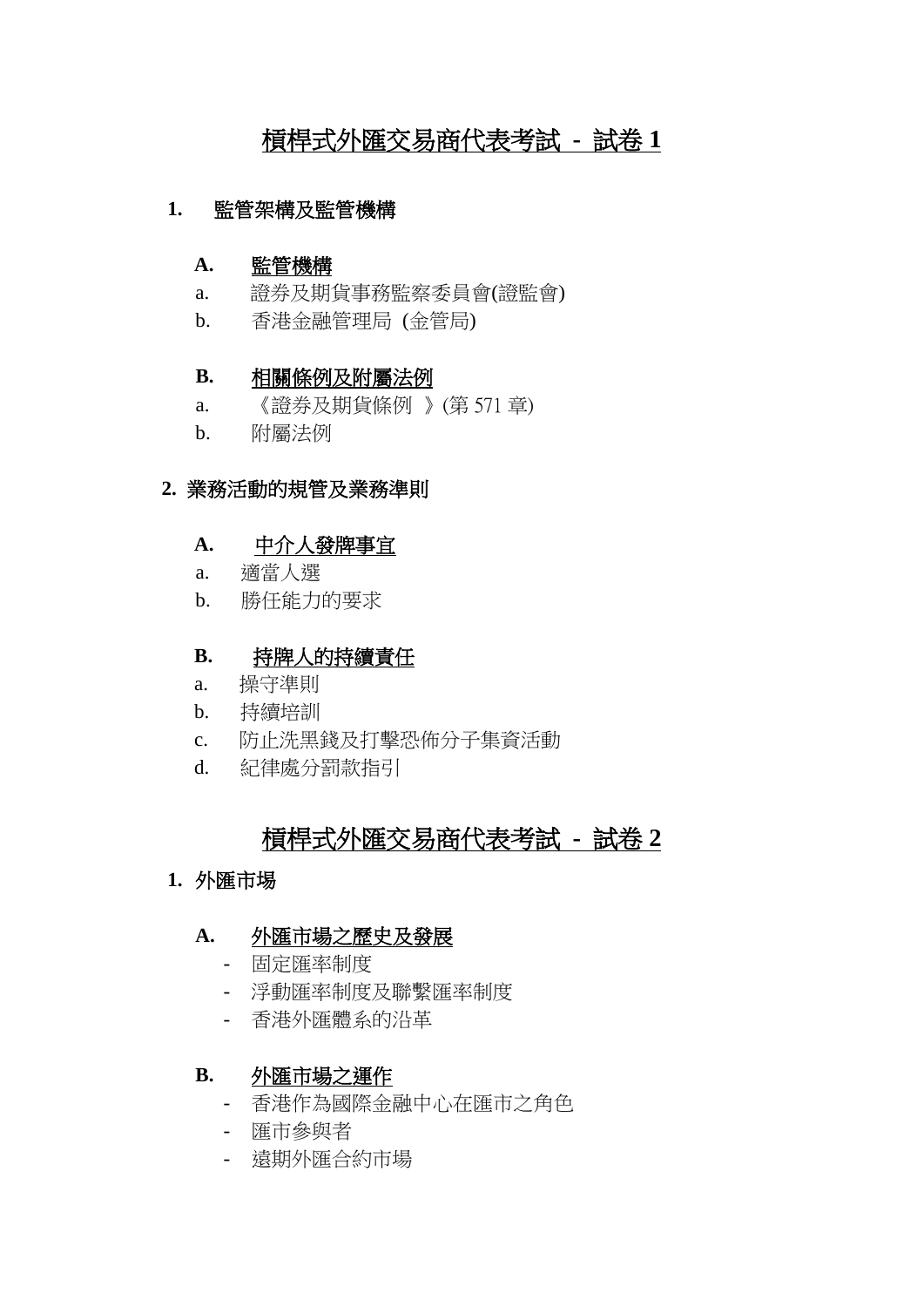# 槓桿式外匯交易商代表考試 **-** 試卷 **1**

#### **1.** 監管架構及監管機構

#### **A.** 監管機構

- a. 證券及期貨事務監察委員會(證監會)
- b. 香港金融管理局 (金管局)

#### **B.** 相關條例及附屬法例

- a. 《證券及期貨條例 》(第 571 章)
- b. 附屬法例

#### **2.** 業務活動的規管及業務準則

#### A. <u>中介人發牌事宜</u>

- a. 適當人選
- b. 勝任能力的要求

#### **B.**  持牌人的持續責任

- a. 操守準則
- b. 持續培訓
- c. 防止洗黑錢及打擊恐佈分子集資活動
- d. 紀律處分罰款指引

## 槓桿式外匯交易商代表考試 **-** 試卷 **2**

### **1.** 外匯市埸

#### **A.** 外匯市場之歷史及發展

- 固定匯率制度
- 浮動匯率制度及聯繫匯率制度
- 香港外匯體系的沿革

#### **B.** 外匯市場之運作

- 香港作為國際金融中心在匯市之角色
- 匯市參與者
- 遠期外匯合約市場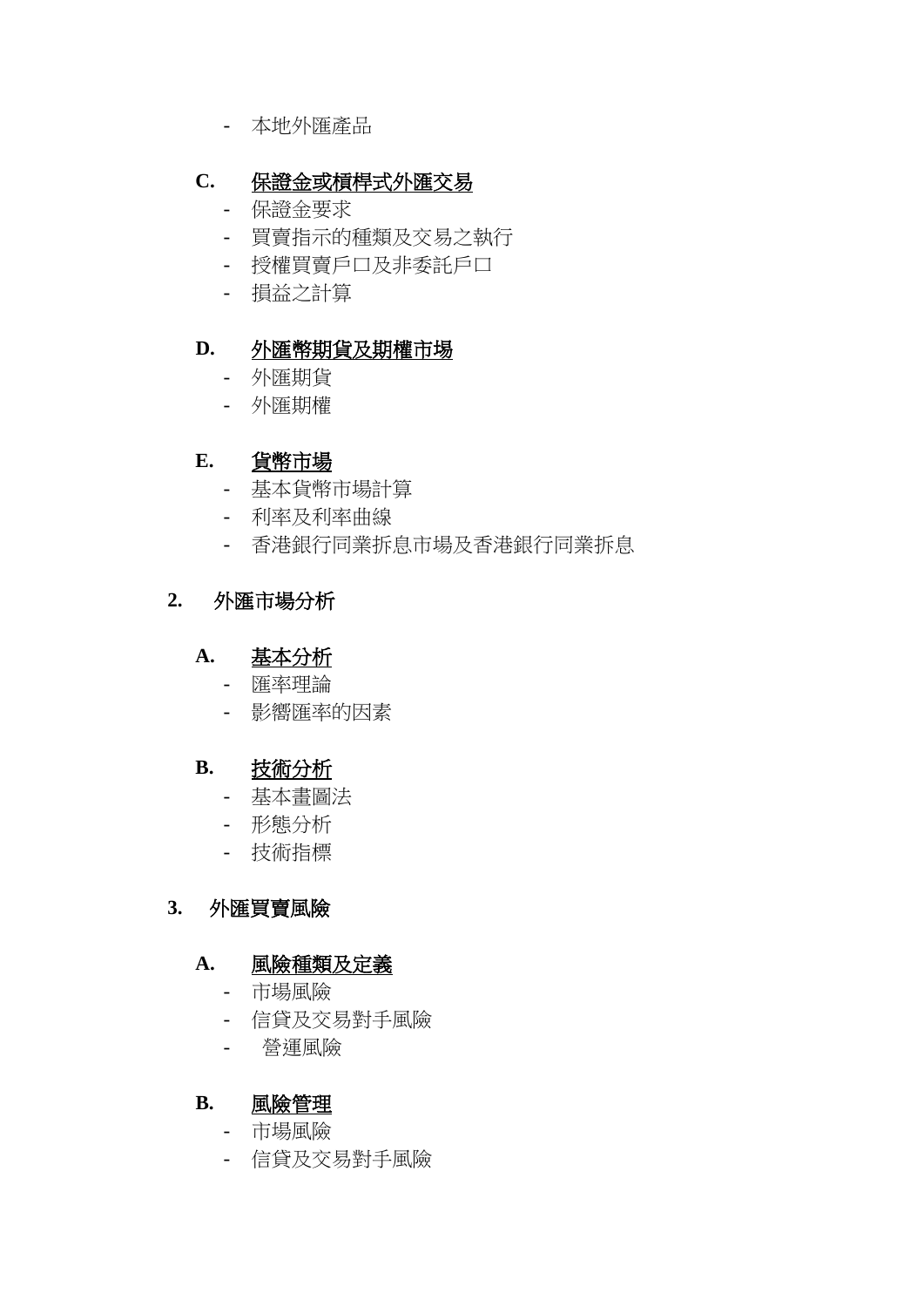- 本地外匯產品

## **C.** 保證金或槓桿式外匯交易

- 保證金要求
- 買賣指示的種類及交易之執行
- 授權買賣戶口及非委託戶口
- 損益之計算

## **D.** 外匯幣期貨及期權市埸

- 外匯期貨
- 外匯期權

### **E.** 貨幣市場

- 基本貨幣市場計算
- 利率及利率曲線
- 香港銀行同業拆息市場及香港銀行同業拆息

## **2.** 外匯市場分析

#### **A.** 基本分析

- 匯率理論
- 影嚮匯率的因素

### **B.** 技術分析

- 基本畫圖法
- 形態分析
- 技術指標

### **3.** 外匯買賣風險

#### **A.** 風險種類及定義

- 市場風險
- 信貸及交易對手風險
- 營運風險

#### **B.** 風險管理

- 市場風險
- 信貸及交易對手風險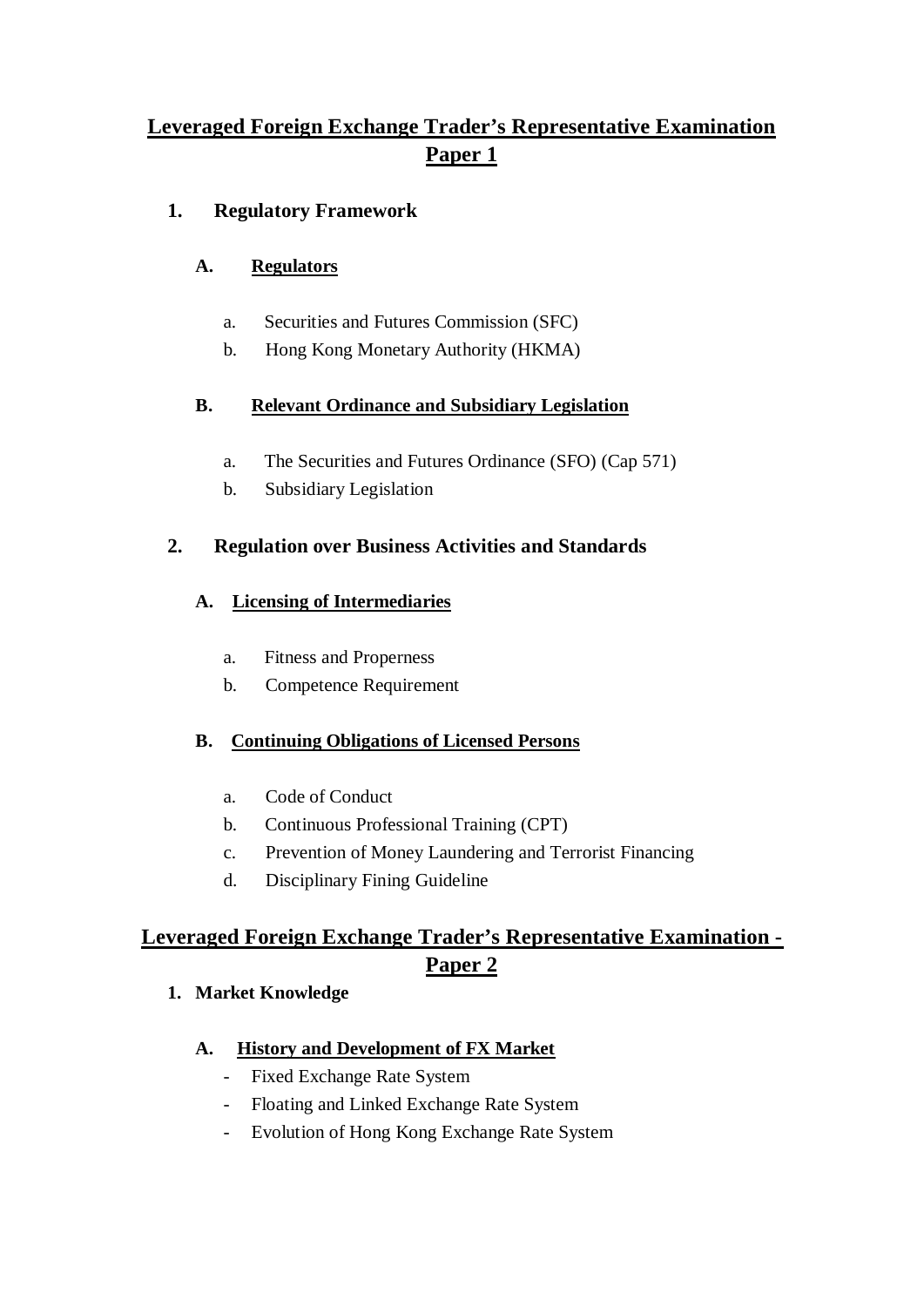# **Leveraged Foreign Exchange Trader's Representative Examination Paper 1**

## **1. Regulatory Framework**

### **A. Regulators**

- a. Securities and Futures Commission (SFC)
- b. Hong Kong Monetary Authority (HKMA)

### **B. Relevant Ordinance and Subsidiary Legislation**

- a. The Securities and Futures Ordinance (SFO) (Cap 571)
- b. Subsidiary Legislation

## **2. Regulation over Business Activities and Standards**

### **A. Licensing of Intermediaries**

- a. Fitness and Properness
- b. Competence Requirement

## **B. Continuing Obligations of Licensed Persons**

- a. Code of Conduct
- b. Continuous Professional Training (CPT)
- c. Prevention of Money Laundering and Terrorist Financing
- d. Disciplinary Fining Guideline

# **Leveraged Foreign Exchange Trader's Representative Examination - Paper 2**

### **1. Market Knowledge**

#### **A. History and Development of FX Market**

- Fixed Exchange Rate System
- Floating and Linked Exchange Rate System
- Evolution of Hong Kong Exchange Rate System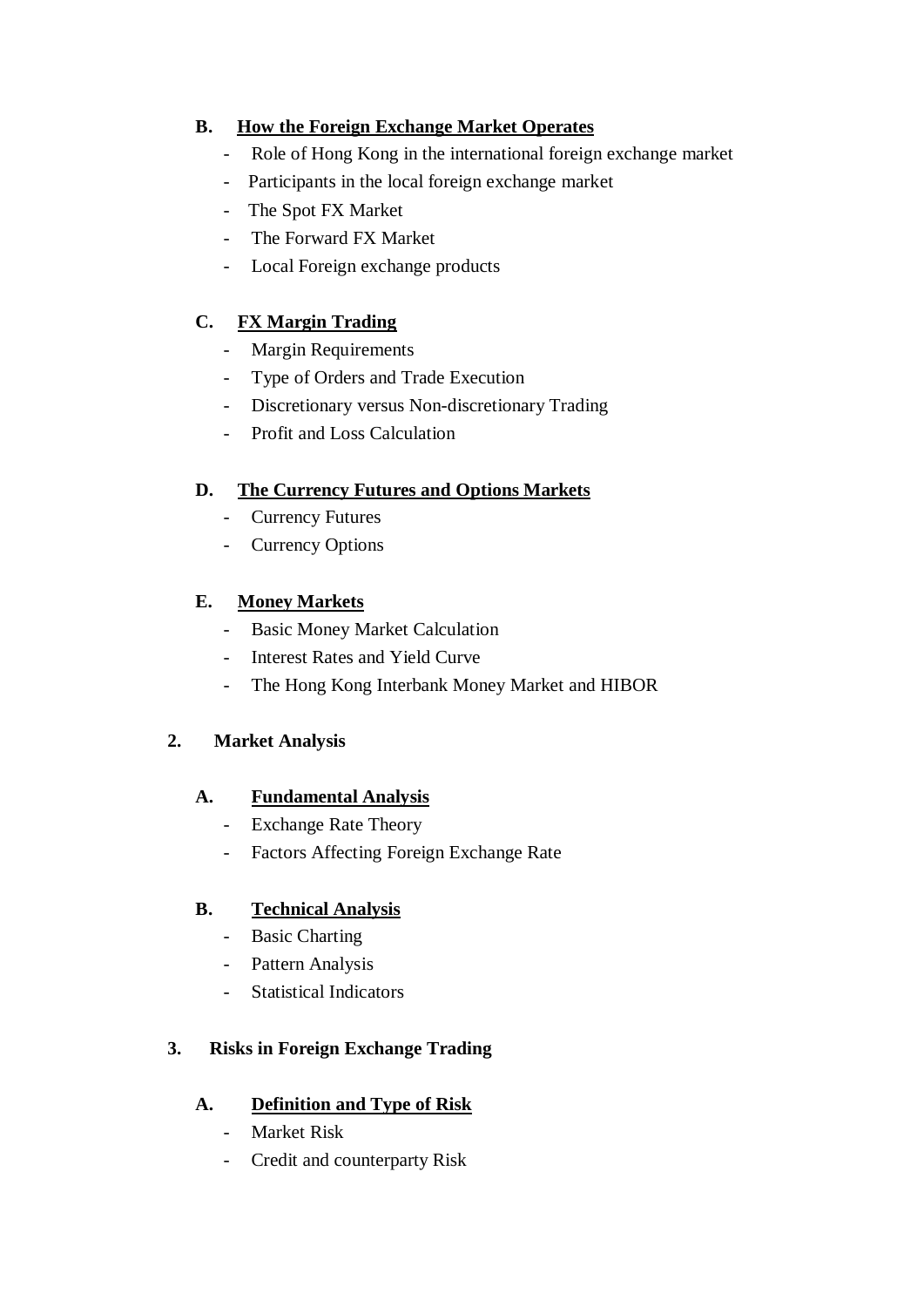#### **B. How the Foreign Exchange Market Operates**

- Role of Hong Kong in the international foreign exchange market
- Participants in the local foreign exchange market
- The Spot FX Market
- The Forward FX Market
- Local Foreign exchange products

### **C. FX Margin Trading**

- Margin Requirements
- Type of Orders and Trade Execution
- Discretionary versus Non-discretionary Trading
- Profit and Loss Calculation

### **D. The Currency Futures and Options Markets**

- Currency Futures
- Currency Options

#### **E. Money Markets**

- Basic Money Market Calculation
- Interest Rates and Yield Curve
- The Hong Kong Interbank Money Market and HIBOR

### **2. Market Analysis**

#### **A. Fundamental Analysis**

- Exchange Rate Theory
- Factors Affecting Foreign Exchange Rate

#### **B. Technical Analysis**

- Basic Charting
- Pattern Analysis
- Statistical Indicators

## **3. Risks in Foreign Exchange Trading**

#### **A. Definition and Type of Risk**

- Market Risk
- Credit and counterparty Risk